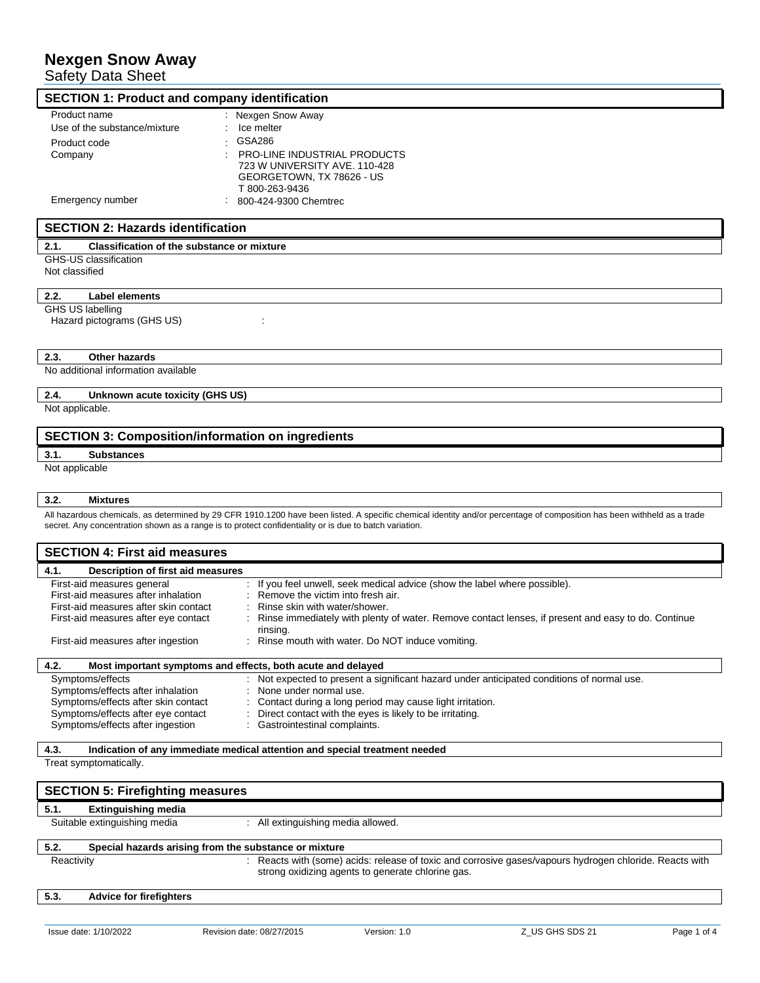# **Nexgen Snow Away**

Safety Data Sheet

| <b>SECTION 1: Product and company identification</b> |                                                                                                                     |  |  |
|------------------------------------------------------|---------------------------------------------------------------------------------------------------------------------|--|--|
| Product name                                         | : Nexgen Snow Away                                                                                                  |  |  |
| Use of the substance/mixture                         | Ice melter                                                                                                          |  |  |
| Product code                                         | GSA286                                                                                                              |  |  |
| Company                                              | <b>PRO-LINE INDUSTRIAL PRODUCTS</b><br>723 W UNIVERSITY AVE, 110-428<br>GEORGETOWN, TX 78626 - US<br>T 800-263-9436 |  |  |
| Emergency number                                     | 800-424-9300 Chemtrec                                                                                               |  |  |

# **SECTION 2: Hazards identification**

#### **2.1. Classification of the substance or mixture**

GHS-US classification

Not classified

#### **2.2. Label elements**

GHS US labelling

Hazard pictograms (GHS US) : :

#### **2.3. Other hazards**

No additional information available

### **2.4. Unknown acute toxicity (GHS US)**

Not applicable.

# **SECTION 3: Composition/information on ingredients**

#### **3.1. Substances**

Not applicable

### **3.2. Mixtures**

All hazardous chemicals, as determined by 29 CFR 1910.1200 have been listed. A specific chemical identity and/or percentage of composition has been withheld as a trade secret. Any concentration shown as a range is to protect confidentiality or is due to batch variation.

|            | <b>SECTION 4: First aid measures</b>                                                                                                                                                     |                           |                                                                    |                                                                                                                      |                                                                                                                                                                                |             |
|------------|------------------------------------------------------------------------------------------------------------------------------------------------------------------------------------------|---------------------------|--------------------------------------------------------------------|----------------------------------------------------------------------------------------------------------------------|--------------------------------------------------------------------------------------------------------------------------------------------------------------------------------|-------------|
| 4.1.       | Description of first aid measures                                                                                                                                                        |                           |                                                                    |                                                                                                                      |                                                                                                                                                                                |             |
|            | First-aid measures general<br>First-aid measures after inhalation<br>First-aid measures after skin contact<br>First-aid measures after eye contact<br>First-aid measures after ingestion | rinsing.                  | Remove the victim into fresh air.<br>Rinse skin with water/shower. | Rinse mouth with water. Do NOT induce vomiting.                                                                      | If you feel unwell, seek medical advice (show the label where possible).<br>Rinse immediately with plenty of water. Remove contact lenses, if present and easy to do. Continue |             |
| 4.2.       | Most important symptoms and effects, both acute and delayed                                                                                                                              |                           |                                                                    |                                                                                                                      |                                                                                                                                                                                |             |
|            | Symptoms/effects<br>Symptoms/effects after inhalation<br>Symptoms/effects after skin contact<br>Symptoms/effects after eye contact<br>Symptoms/effects after ingestion                   |                           | None under normal use.<br>Gastrointestinal complaints.             | Contact during a long period may cause light irritation.<br>Direct contact with the eyes is likely to be irritating. | Not expected to present a significant hazard under anticipated conditions of normal use.                                                                                       |             |
| 4.3.       |                                                                                                                                                                                          |                           |                                                                    | Indication of any immediate medical attention and special treatment needed                                           |                                                                                                                                                                                |             |
|            | Treat symptomatically.                                                                                                                                                                   |                           |                                                                    |                                                                                                                      |                                                                                                                                                                                |             |
|            | <b>SECTION 5: Firefighting measures</b>                                                                                                                                                  |                           |                                                                    |                                                                                                                      |                                                                                                                                                                                |             |
| 5.1.       | <b>Extinguishing media</b>                                                                                                                                                               |                           |                                                                    |                                                                                                                      |                                                                                                                                                                                |             |
|            | Suitable extinguishing media                                                                                                                                                             |                           | : All extinguishing media allowed.                                 |                                                                                                                      |                                                                                                                                                                                |             |
| 5.2.       | Special hazards arising from the substance or mixture                                                                                                                                    |                           |                                                                    |                                                                                                                      |                                                                                                                                                                                |             |
| Reactivity |                                                                                                                                                                                          |                           |                                                                    | strong oxidizing agents to generate chlorine gas.                                                                    | Reacts with (some) acids: release of toxic and corrosive gases/vapours hydrogen chloride. Reacts with                                                                          |             |
| 5.3.       | <b>Advice for firefighters</b>                                                                                                                                                           |                           |                                                                    |                                                                                                                      |                                                                                                                                                                                |             |
|            | Issue date: 1/10/2022                                                                                                                                                                    | Revision date: 08/27/2015 |                                                                    | Version: 1.0                                                                                                         | Z US GHS SDS 21                                                                                                                                                                | Page 1 of 4 |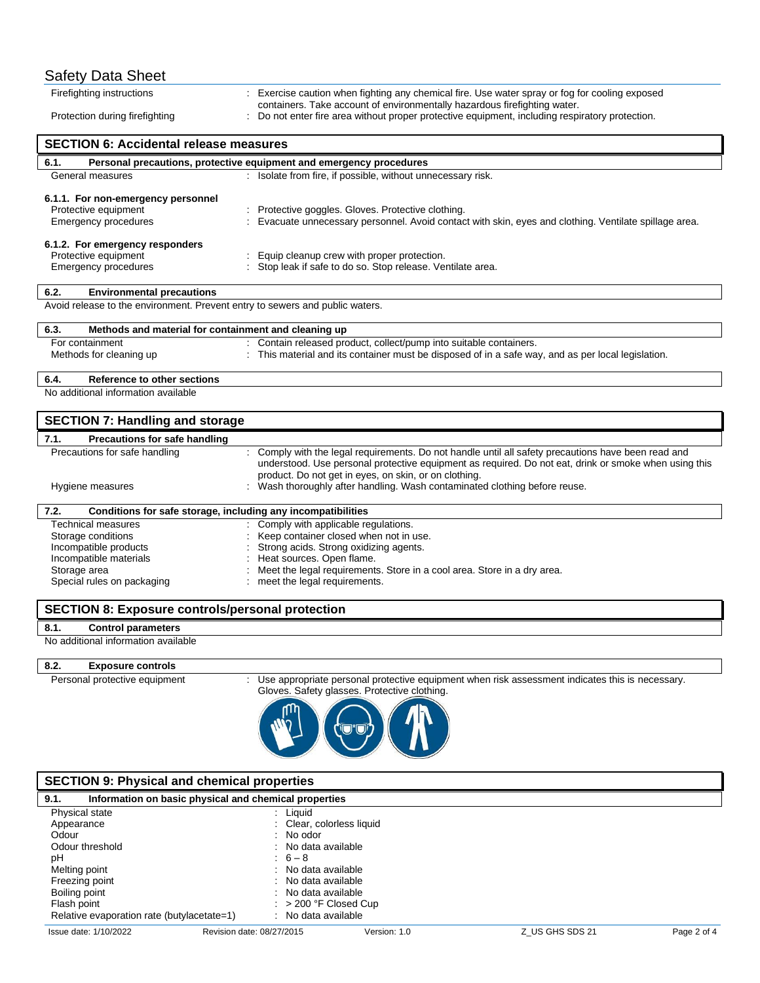| <b>Safety Data Sheet</b>                                                     |                                                                                                                                                                            |  |  |
|------------------------------------------------------------------------------|----------------------------------------------------------------------------------------------------------------------------------------------------------------------------|--|--|
| Firefighting instructions                                                    | : Exercise caution when fighting any chemical fire. Use water spray or fog for cooling exposed                                                                             |  |  |
| Protection during firefighting                                               | containers. Take account of environmentally hazardous firefighting water.<br>Do not enter fire area without proper protective equipment, including respiratory protection. |  |  |
|                                                                              |                                                                                                                                                                            |  |  |
| <b>SECTION 6: Accidental release measures</b>                                |                                                                                                                                                                            |  |  |
| 6.1.                                                                         | Personal precautions, protective equipment and emergency procedures                                                                                                        |  |  |
| General measures                                                             | : Isolate from fire, if possible, without unnecessary risk.                                                                                                                |  |  |
| 6.1.1. For non-emergency personnel                                           |                                                                                                                                                                            |  |  |
| Protective equipment                                                         | Protective goggles. Gloves. Protective clothing.                                                                                                                           |  |  |
| <b>Emergency procedures</b>                                                  | Evacuate unnecessary personnel. Avoid contact with skin, eyes and clothing. Ventilate spillage area.                                                                       |  |  |
| 6.1.2. For emergency responders                                              |                                                                                                                                                                            |  |  |
| Protective equipment                                                         | Equip cleanup crew with proper protection.                                                                                                                                 |  |  |
| <b>Emergency procedures</b>                                                  | Stop leak if safe to do so. Stop release. Ventilate area.                                                                                                                  |  |  |
| 6.2.<br><b>Environmental precautions</b>                                     |                                                                                                                                                                            |  |  |
| Avoid release to the environment. Prevent entry to sewers and public waters. |                                                                                                                                                                            |  |  |
| 6.3.<br>Methods and material for containment and cleaning up                 |                                                                                                                                                                            |  |  |
| For containment                                                              | Contain released product, collect/pump into suitable containers.                                                                                                           |  |  |
| Methods for cleaning up                                                      | This material and its container must be disposed of in a safe way, and as per local legislation.                                                                           |  |  |
| 6.4.<br>Reference to other sections                                          |                                                                                                                                                                            |  |  |
| No additional information available                                          |                                                                                                                                                                            |  |  |
| <b>SECTION 7: Handling and storage</b>                                       |                                                                                                                                                                            |  |  |
| 7.1.<br><b>Precautions for safe handling</b>                                 |                                                                                                                                                                            |  |  |
| Precautions for safe handling                                                | Comply with the legal requirements. Do not handle until all safety precautions have been read and                                                                          |  |  |
|                                                                              | understood. Use personal protective equipment as required. Do not eat, drink or smoke when using this<br>product. Do not get in eyes, on skin, or on clothing.             |  |  |
| Hygiene measures                                                             | : Wash thoroughly after handling. Wash contaminated clothing before reuse.                                                                                                 |  |  |
|                                                                              |                                                                                                                                                                            |  |  |
| 7.2.<br>Conditions for safe storage, including any incompatibilities         |                                                                                                                                                                            |  |  |
| Technical measures<br>Storage conditions                                     | : Comply with applicable regulations.<br>Keep container closed when not in use.                                                                                            |  |  |
| Incompatible products                                                        | Strong acids. Strong oxidizing agents.                                                                                                                                     |  |  |
| Incompatible materials                                                       | Heat sources. Open flame.                                                                                                                                                  |  |  |
| Storage area                                                                 | Meet the legal requirements. Store in a cool area. Store in a dry area.                                                                                                    |  |  |
| Special rules on packaging                                                   | : meet the legal requirements.                                                                                                                                             |  |  |
| <b>SECTION 8: Exposure controls/personal protection</b>                      |                                                                                                                                                                            |  |  |
| 8.1.<br><b>Control parameters</b>                                            |                                                                                                                                                                            |  |  |
| No additional information available                                          |                                                                                                                                                                            |  |  |

# **8.2. Exposure controls**

Personal protective equipment : Use appropriate personal protective equipment when risk assessment indicates this is necessary. Gloves. Safety glasses. Protective clothing.



| <b>SECTION 9: Physical and chemical properties</b>                                                                 |                                                                                                                                                                        |              |                 |             |
|--------------------------------------------------------------------------------------------------------------------|------------------------------------------------------------------------------------------------------------------------------------------------------------------------|--------------|-----------------|-------------|
| 9.1.                                                                                                               | Information on basic physical and chemical properties                                                                                                                  |              |                 |             |
| Physical state<br>Appearance<br>Odour<br>Odour threshold<br>рH<br>Melting point<br>Freezing point<br>Boiling point | : Liguid<br>: Clear, colorless liquid<br>$:$ No odor<br>: No data available<br>$\therefore$ 6 - 8<br>: No data available<br>: No data available<br>: No data available |              |                 |             |
| Flash point<br>Relative evaporation rate (butylacetate=1)                                                          | $: > 200$ °F Closed Cup<br>: No data available                                                                                                                         |              |                 |             |
| Issue date: 1/10/2022                                                                                              | Revision date: 08/27/2015                                                                                                                                              | Version: 1.0 | Z US GHS SDS 21 | Page 2 of 4 |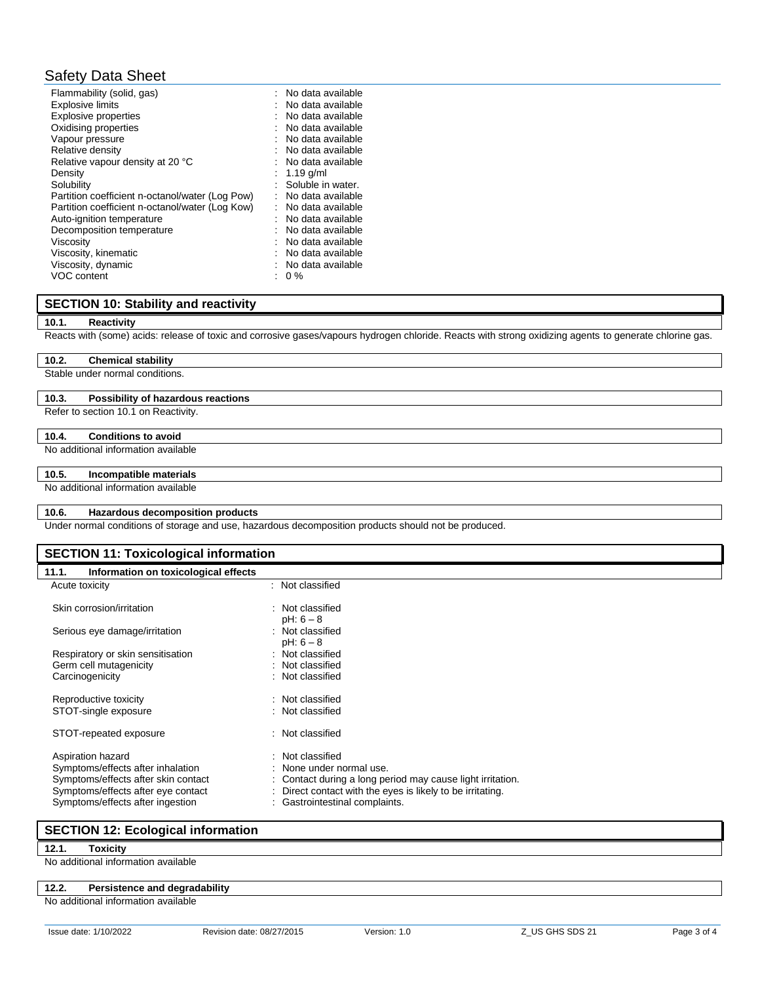# Safety Data Sheet

| Flammability (solid, gas)<br><b>Explosive limits</b><br><b>Explosive properties</b><br>Oxidising properties<br>Vapour pressure<br>Relative density<br>Relative vapour density at 20 °C<br>Density<br>Solubility<br>Partition coefficient n-octanol/water (Log Pow)<br>Partition coefficient n-octanol/water (Log Kow)<br>Auto-ignition temperature<br>Decomposition temperature<br>Viscosity<br>Viscosity, kinematic | : No data available<br>No data available<br>No data available<br>No data available<br>No data available<br>No data available<br>: No data available<br>1.19 $q/ml$<br>Soluble in water.<br>No data available<br>: No data available<br>No data available<br>No data available<br>No data available<br>No data available |
|----------------------------------------------------------------------------------------------------------------------------------------------------------------------------------------------------------------------------------------------------------------------------------------------------------------------------------------------------------------------------------------------------------------------|-------------------------------------------------------------------------------------------------------------------------------------------------------------------------------------------------------------------------------------------------------------------------------------------------------------------------|
| Viscosity, dynamic                                                                                                                                                                                                                                                                                                                                                                                                   | No data available                                                                                                                                                                                                                                                                                                       |
| VOC content                                                                                                                                                                                                                                                                                                                                                                                                          | $0\%$                                                                                                                                                                                                                                                                                                                   |

# **SECTION 10: Stability and reactivity**

#### **10.1. Reactivity**

Reacts with (some) acids: release of toxic and corrosive gases/vapours hydrogen chloride. Reacts with strong oxidizing agents to generate chlorine gas.

### **10.2. Chemical stability**

Stable under normal conditions.

#### **10.3. Possibility of hazardous reactions**

Refer to section 10.1 on Reactivity.

#### **10.4. Conditions to avoid**

No additional information available

#### **10.5. Incompatible materials**

No additional information available

#### **10.6. Hazardous decomposition products**

Under normal conditions of storage and use, hazardous decomposition products should not be produced.

### **SECTION 11: Toxicological information**

# **11.1. Information on toxicological effects**

| : Not classified                                           |
|------------------------------------------------------------|
| : Not classified                                           |
| pH: 6 – 8                                                  |
| : Not classified                                           |
| $pH: 6-8$                                                  |
| : Not classified                                           |
| : Not classified                                           |
| : Not classified                                           |
|                                                            |
| : Not classified                                           |
| : Not classified                                           |
|                                                            |
| : Not classified                                           |
|                                                            |
| : Not classified                                           |
| : None under normal use.                                   |
| : Contact during a long period may cause light irritation. |
| : Direct contact with the eyes is likely to be irritating. |
| : Gastrointestinal complaints.                             |
|                                                            |

# **SECTION 12: Ecological information**

**12.1. Toxicity**

No additional information available

#### **12.2. Persistence and degradability**

No additional information available